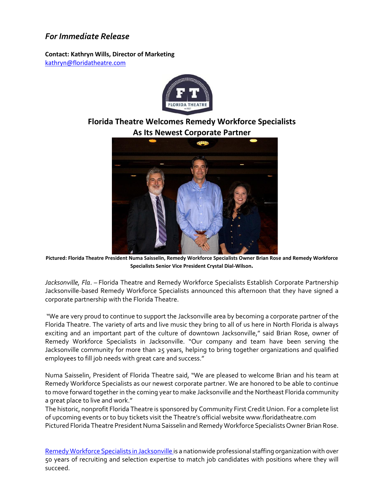## *For Immediate Release*

**Contact: Kathryn Wills, Director of Marketing**  [kathryn@floridatheatre.com](mailto:kathryn@floridatheatre.com)



## **Florida Theatre Welcomes Remedy Workforce Specialists As Its Newest Corporate Partner**



**Pictured: Florida Theatre President Numa Saisselin, Remedy Workforce Specialists Owner Brian Rose and Remedy Workforce Specialists Senior Vice President Crystal Dial-Wilson.**

*Jacksonville, Fla*. – Florida Theatre and Remedy Workforce Specialists Establish Corporate Partnership Jacksonville-based Remedy Workforce Specialists announced this afternoon that they have signed a corporate partnership with the Florida Theatre.

"We are very proud to continue to support the Jacksonville area by becoming a corporate partner of the Florida Theatre. The variety of arts and live music they bring to all of us here in North Florida is always exciting and an important part of the culture of downtown Jacksonville," said Brian Rose, owner of Remedy Workforce Specialists in Jacksonville. "Our company and team have been serving the Jacksonville community for more than 25 years, helping to bring together organizations and qualified employees to fill job needs with great care and success."

Numa Saisselin, President of Florida Theatre said, "We are pleased to welcome Brian and his team at Remedy Workforce Specialists as our newest corporate partner. We are honored to be able to continue to move forward together in the coming year to make Jacksonville and the Northeast Florida community a great place to live and work."

The historic, nonprofit Florida Theatre is sponsored by Community First Credit Union. For a complete list of upcoming events or to buy tickets visit the Theatre's official website www.floridatheatre.com Pictured Florida Theatre President Numa Saisselin and Remedy Workforce Specialists Owner Brian Rose.

[Remedy Workforce Specialists in Jacksonville i](https://www.remedystaffing.com/about-us/)s a nationwide professional staffing organization with over 50 years of recruiting and selection expertise to match job candidates with positions where they will succeed.